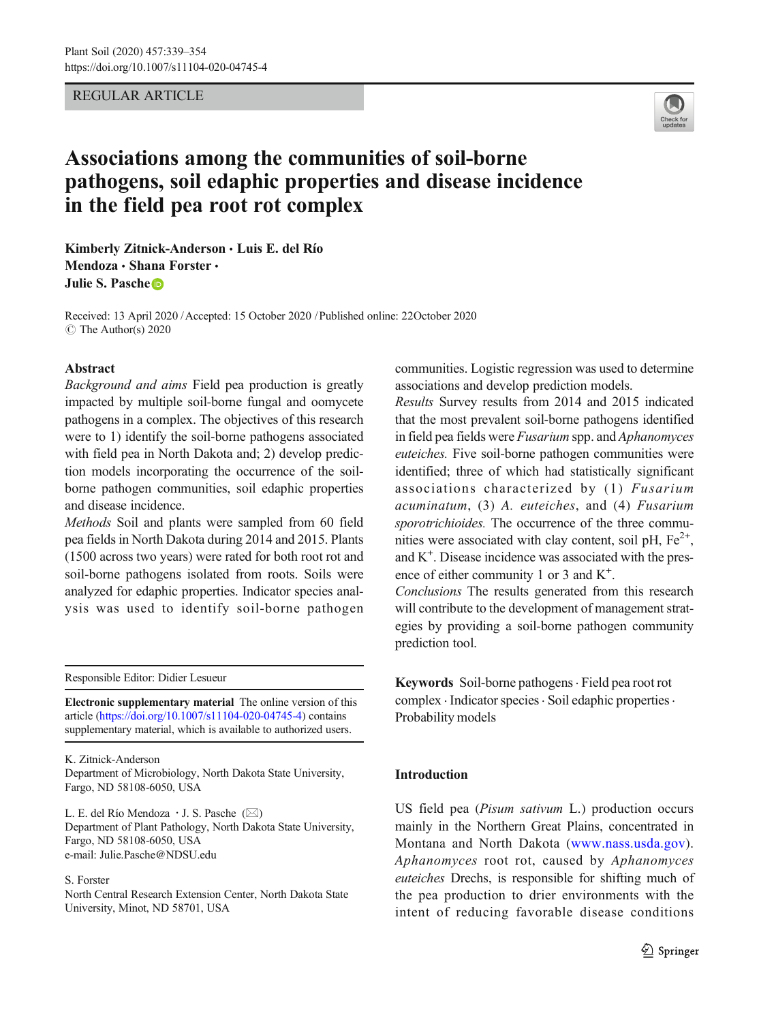REGULAR ARTICLE



# Associations among the communities of soil-borne pathogens, soil edaphic properties and disease incidence in the field pea root rot complex

Kimberly Zitnick-Anderson · Luis E. del Río Mendoza · Shana Forster · Julie S. Pasche

Received: 13 April 2020 /Accepted: 15 October 2020 /Published online: 22October 2020 $\odot$  The Author(s) 2020

# Abstract

Background and aims Field pea production is greatly impacted by multiple soil-borne fungal and oomycete pathogens in a complex. The objectives of this research were to 1) identify the soil-borne pathogens associated with field pea in North Dakota and; 2) develop prediction models incorporating the occurrence of the soilborne pathogen communities, soil edaphic properties and disease incidence.

Methods Soil and plants were sampled from 60 field pea fields in North Dakota during 2014 and 2015. Plants (1500 across two years) were rated for both root rot and soil-borne pathogens isolated from roots. Soils were analyzed for edaphic properties. Indicator species analysis was used to identify soil-borne pathogen

Responsible Editor: Didier Lesueur

Electronic supplementary material The online version of this article ([https://doi.org/10.1007/s11104-020-04745-4\)](https://doi.org/10.1007/s11104-020-04745-4) contains supplementary material, which is available to authorized users.

K. Zitnick-Anderson

Department of Microbiology, North Dakota State University, Fargo, ND 58108-6050, USA

L. E. del Río Mendoza  $\cdot$  J. S. Pasche  $(\boxtimes)$ Department of Plant Pathology, North Dakota State University, Fargo, ND 58108-6050, USA e-mail: Julie.Pasche@NDSU.edu

### S. Forster

North Central Research Extension Center, North Dakota State University, Minot, ND 58701, USA

communities. Logistic regression was used to determine associations and develop prediction models.

Results Survey results from 2014 and 2015 indicated that the most prevalent soil-borne pathogens identified in field pea fields were Fusarium spp. and Aphanomyces euteiches. Five soil-borne pathogen communities were identified; three of which had statistically significant associations characterized by (1) Fusarium acuminatum, (3) A. euteiches, and (4) Fusarium sporotrichioides. The occurrence of the three communities were associated with clay content, soil pH,  $Fe^{2+}$ , and K<sup>+</sup>. Disease incidence was associated with the presence of either community 1 or 3 and K<sup>+</sup>.

Conclusions The results generated from this research will contribute to the development of management strategies by providing a soil-borne pathogen community prediction tool.

Keywords Soil-borne pathogens. Field pea root rot complex  $\cdot$  Indicator species  $\cdot$  Soil edaphic properties  $\cdot$ Probability models

# Introduction

US field pea (Pisum sativum L.) production occurs mainly in the Northern Great Plains, concentrated in Montana and North Dakota ([www.nass.usda.gov](http://www.nass.usda.gov)). Aphanomyces root rot, caused by Aphanomyces euteiches Drechs, is responsible for shifting much of the pea production to drier environments with the intent of reducing favorable disease conditions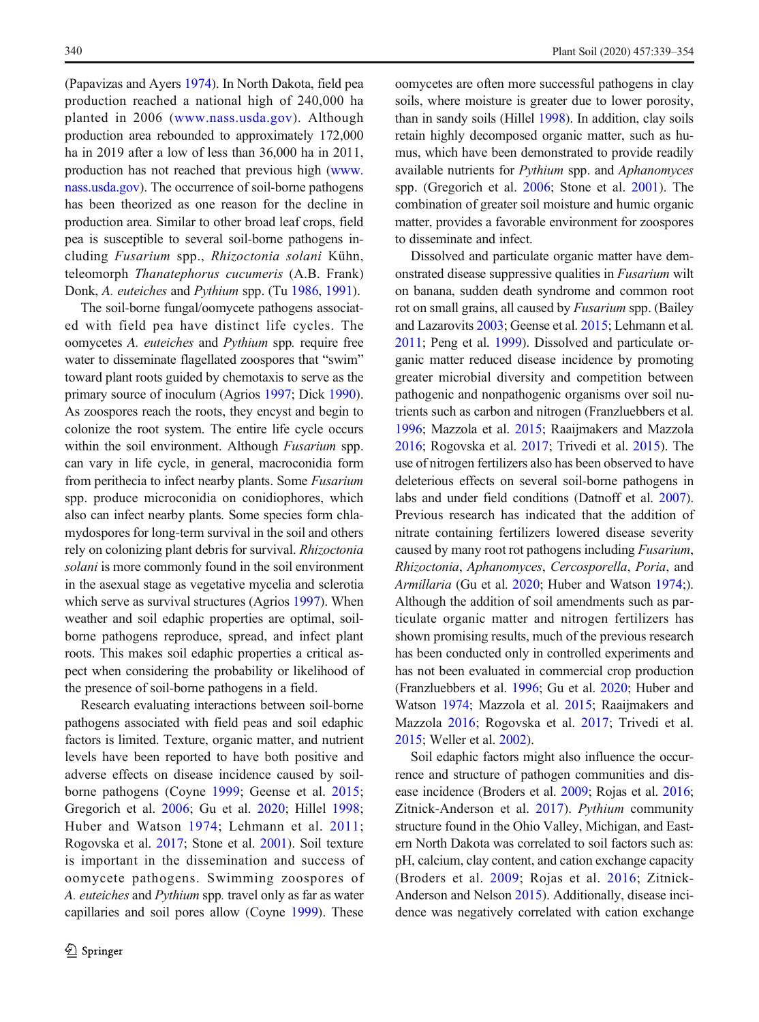(Papavizas and Ayers [1974\)](#page-15-0). In North Dakota, field pea production reached a national high of 240,000 ha planted in 2006 ([www.nass.usda.gov](http://www.nass.usda.gov)). Although production area rebounded to approximately 172,000 ha in 2019 after a low of less than 36,000 ha in 2011, production has not reached that previous high ([www.](http://www.nass.usda.gov) [nass.usda.gov\)](http://www.nass.usda.gov). The occurrence of soil-borne pathogens has been theorized as one reason for the decline in production area. Similar to other broad leaf crops, field pea is susceptible to several soil-borne pathogens including Fusarium spp., Rhizoctonia solani Kühn, teleomorph Thanatephorus cucumeris (A.B. Frank) Donk, A. euteiches and Pythium spp. (Tu [1986,](#page-15-0) [1991](#page-15-0)).

The soil-borne fungal/oomycete pathogens associated with field pea have distinct life cycles. The oomycetes A. euteiches and Pythium spp. require free water to disseminate flagellated zoospores that "swim" toward plant roots guided by chemotaxis to serve as the primary source of inoculum (Agrios [1997](#page-13-0); Dick [1990\)](#page-13-0). As zoospores reach the roots, they encyst and begin to colonize the root system. The entire life cycle occurs within the soil environment. Although Fusarium spp. can vary in life cycle, in general, macroconidia form from perithecia to infect nearby plants. Some Fusarium spp. produce microconidia on conidiophores, which also can infect nearby plants. Some species form chlamydospores for long-term survival in the soil and others rely on colonizing plant debris for survival. Rhizoctonia solani is more commonly found in the soil environment in the asexual stage as vegetative mycelia and sclerotia which serve as survival structures (Agrios [1997\)](#page-13-0). When weather and soil edaphic properties are optimal, soilborne pathogens reproduce, spread, and infect plant roots. This makes soil edaphic properties a critical aspect when considering the probability or likelihood of the presence of soil-borne pathogens in a field.

Research evaluating interactions between soil-borne pathogens associated with field peas and soil edaphic factors is limited. Texture, organic matter, and nutrient levels have been reported to have both positive and adverse effects on disease incidence caused by soilborne pathogens (Coyne [1999;](#page-13-0) Geense et al. [2015](#page-14-0); Gregorich et al. [2006;](#page-14-0) Gu et al. [2020;](#page-14-0) Hillel [1998](#page-14-0); Huber and Watson [1974](#page-14-0); Lehmann et al. [2011](#page-14-0); Rogovska et al. [2017](#page-15-0); Stone et al. [2001](#page-15-0)). Soil texture is important in the dissemination and success of oomycete pathogens. Swimming zoospores of A. euteiches and Pythium spp. travel only as far as water capillaries and soil pores allow (Coyne [1999](#page-13-0)). These

oomycetes are often more successful pathogens in clay soils, where moisture is greater due to lower porosity, than in sandy soils (Hillel [1998\)](#page-14-0). In addition, clay soils retain highly decomposed organic matter, such as humus, which have been demonstrated to provide readily available nutrients for Pythium spp. and Aphanomyces spp. (Gregorich et al. [2006;](#page-14-0) Stone et al. [2001](#page-15-0)). The combination of greater soil moisture and humic organic matter, provides a favorable environment for zoospores to disseminate and infect.

Dissolved and particulate organic matter have demonstrated disease suppressive qualities in Fusarium wilt on banana, sudden death syndrome and common root rot on small grains, all caused by Fusarium spp. (Bailey and Lazarovits [2003](#page-13-0); Geense et al. [2015](#page-14-0); Lehmann et al. [2011](#page-14-0); Peng et al. [1999](#page-15-0)). Dissolved and particulate organic matter reduced disease incidence by promoting greater microbial diversity and competition between pathogenic and nonpathogenic organisms over soil nutrients such as carbon and nitrogen (Franzluebbers et al. [1996](#page-14-0); Mazzola et al. [2015;](#page-14-0) Raaijmakers and Mazzola [2016](#page-15-0); Rogovska et al. [2017;](#page-15-0) Trivedi et al. [2015](#page-15-0)). The use of nitrogen fertilizers also has been observed to have deleterious effects on several soil-borne pathogens in labs and under field conditions (Datnoff et al. [2007\)](#page-13-0). Previous research has indicated that the addition of nitrate containing fertilizers lowered disease severity caused by many root rot pathogens including Fusarium, Rhizoctonia, Aphanomyces, Cercosporella, Poria, and Armillaria (Gu et al. [2020](#page-14-0); Huber and Watson [1974](#page-14-0);). Although the addition of soil amendments such as particulate organic matter and nitrogen fertilizers has shown promising results, much of the previous research has been conducted only in controlled experiments and has not been evaluated in commercial crop production (Franzluebbers et al. [1996;](#page-14-0) Gu et al. [2020](#page-14-0); Huber and Watson [1974](#page-14-0); Mazzola et al. [2015;](#page-14-0) Raaijmakers and Mazzola [2016](#page-15-0); Rogovska et al. [2017](#page-15-0); Trivedi et al. [2015](#page-15-0); Weller et al. [2002\)](#page-15-0).

Soil edaphic factors might also influence the occurrence and structure of pathogen communities and disease incidence (Broders et al. [2009](#page-13-0); Rojas et al. [2016;](#page-15-0) Zitnick-Anderson et al. [2017\)](#page-15-0). Pythium community structure found in the Ohio Valley, Michigan, and Eastern North Dakota was correlated to soil factors such as: pH, calcium, clay content, and cation exchange capacity (Broders et al. [2009;](#page-13-0) Rojas et al. [2016](#page-15-0); Zitnick-Anderson and Nelson [2015\)](#page-15-0). Additionally, disease incidence was negatively correlated with cation exchange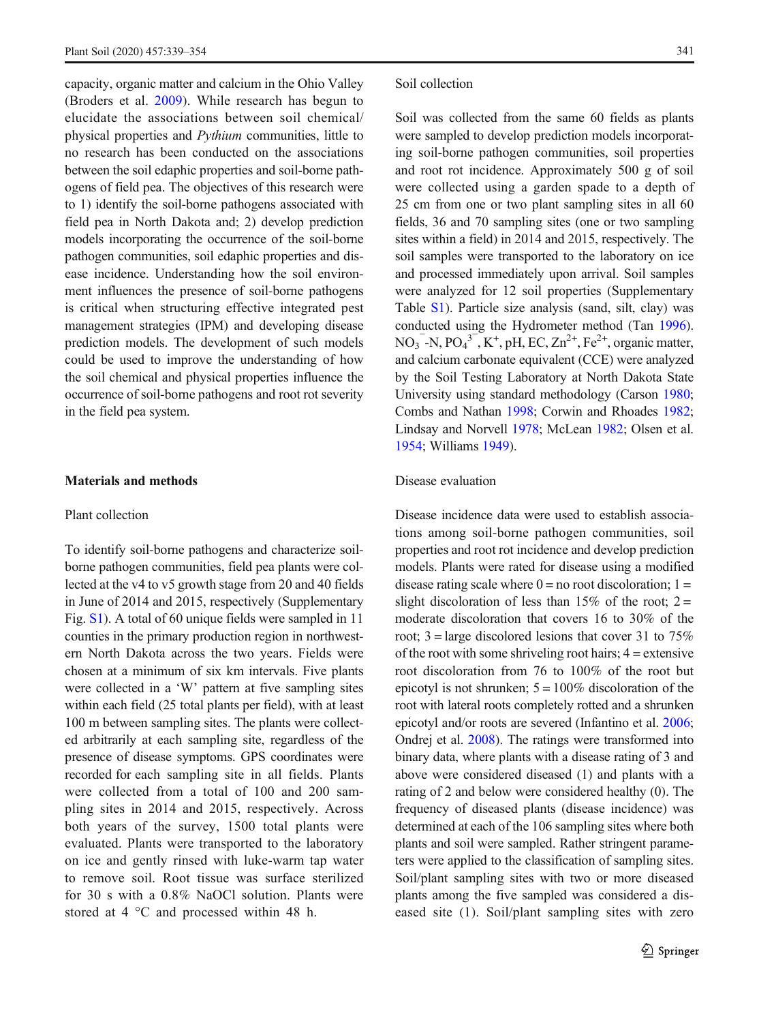capacity, organic matter and calcium in the Ohio Valley (Broders et al. [2009\)](#page-13-0). While research has begun to elucidate the associations between soil chemical/ physical properties and Pythium communities, little to no research has been conducted on the associations between the soil edaphic properties and soil-borne pathogens of field pea. The objectives of this research were to 1) identify the soil-borne pathogens associated with field pea in North Dakota and; 2) develop prediction models incorporating the occurrence of the soil-borne pathogen communities, soil edaphic properties and disease incidence. Understanding how the soil environment influences the presence of soil-borne pathogens is critical when structuring effective integrated pest management strategies (IPM) and developing disease prediction models. The development of such models could be used to improve the understanding of how the soil chemical and physical properties influence the occurrence of soil-borne pathogens and root rot severity in the field pea system.

# Materials and methods

## Plant collection

To identify soil-borne pathogens and characterize soilborne pathogen communities, field pea plants were collected at the v4 to v5 growth stage from 20 and 40 fields in June of 2014 and 2015, respectively (Supplementary Fig. S1). A total of 60 unique fields were sampled in 11 counties in the primary production region in northwestern North Dakota across the two years. Fields were chosen at a minimum of six km intervals. Five plants were collected in a 'W' pattern at five sampling sites within each field (25 total plants per field), with at least 100 m between sampling sites. The plants were collected arbitrarily at each sampling site, regardless of the presence of disease symptoms. GPS coordinates were recorded for each sampling site in all fields. Plants were collected from a total of 100 and 200 sampling sites in 2014 and 2015, respectively. Across both years of the survey, 1500 total plants were evaluated. Plants were transported to the laboratory on ice and gently rinsed with luke-warm tap water to remove soil. Root tissue was surface sterilized for 30 s with a 0.8% NaOCl solution. Plants were stored at 4 °C and processed within 48 h.

## Soil collection

Soil was collected from the same 60 fields as plants were sampled to develop prediction models incorporating soil-borne pathogen communities, soil properties and root rot incidence. Approximately 500 g of soil were collected using a garden spade to a depth of 25 cm from one or two plant sampling sites in all 60 fields, 36 and 70 sampling sites (one or two sampling sites within a field) in 2014 and 2015, respectively. The soil samples were transported to the laboratory on ice and processed immediately upon arrival. Soil samples were analyzed for 12 soil properties (Supplementary Table S1). Particle size analysis (sand, silt, clay) was conducted using the Hydrometer method (Tan [1996\)](#page-15-0). NO<sub>3</sub> - N, PO<sub>4</sub><sup>3</sup>, K<sup>+</sup>, pH, EC, Zn<sup>2+</sup>, Fe<sup>2+</sup>, organic matter, and calcium carbonate equivalent (CCE) were analyzed by the Soil Testing Laboratory at North Dakota State University using standard methodology (Carson [1980;](#page-13-0) Combs and Nathan [1998;](#page-13-0) Corwin and Rhoades [1982;](#page-13-0) Lindsay and Norvell [1978;](#page-14-0) McLean [1982](#page-14-0); Olsen et al. [1954](#page-14-0); Williams [1949](#page-15-0)).

# Disease evaluation

Disease incidence data were used to establish associations among soil-borne pathogen communities, soil properties and root rot incidence and develop prediction models. Plants were rated for disease using a modified disease rating scale where  $0 =$  no root discoloration;  $1 =$ slight discoloration of less than 15% of the root;  $2 =$ moderate discoloration that covers 16 to 30% of the root;  $3 = \text{large}$  discolored lesions that cover 31 to 75% of the root with some shriveling root hairs;  $4 =$  extensive root discoloration from 76 to 100% of the root but epicotyl is not shrunken;  $5 = 100\%$  discoloration of the root with lateral roots completely rotted and a shrunken epicotyl and/or roots are severed (Infantino et al. [2006;](#page-14-0) Ondrej et al. [2008](#page-15-0)). The ratings were transformed into binary data, where plants with a disease rating of 3 and above were considered diseased (1) and plants with a rating of 2 and below were considered healthy (0). The frequency of diseased plants (disease incidence) was determined at each of the 106 sampling sites where both plants and soil were sampled. Rather stringent parameters were applied to the classification of sampling sites. Soil/plant sampling sites with two or more diseased plants among the five sampled was considered a diseased site (1). Soil/plant sampling sites with zero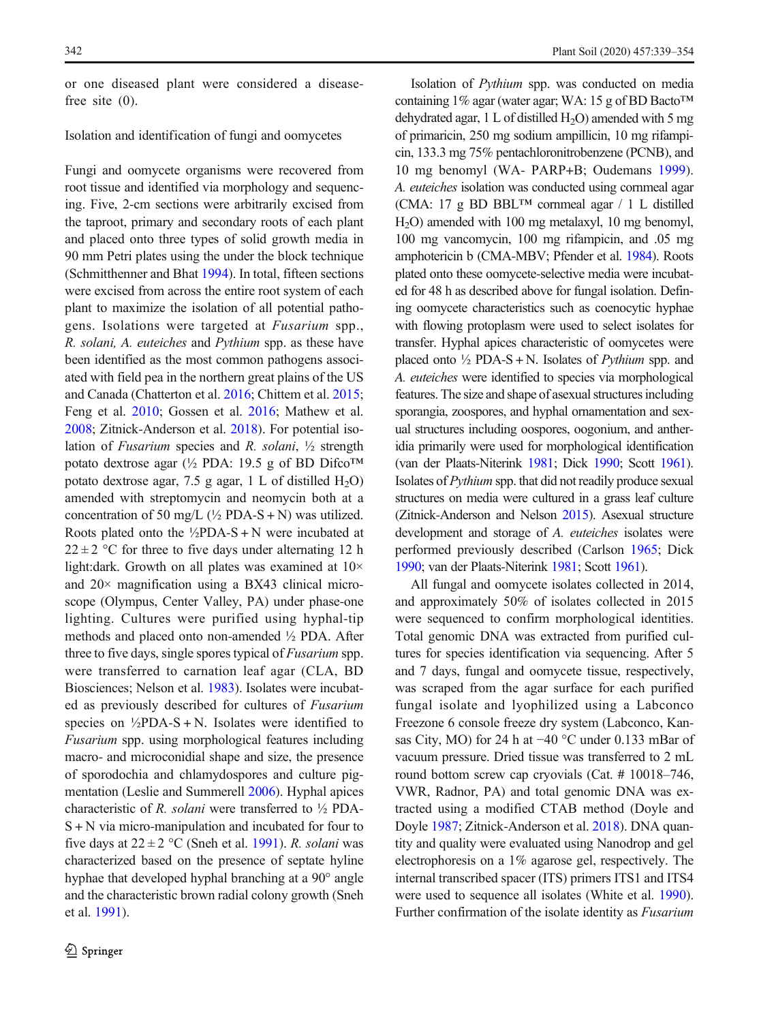or one diseased plant were considered a diseasefree site (0).

### Isolation and identification of fungi and oomycetes

Fungi and oomycete organisms were recovered from root tissue and identified via morphology and sequencing. Five, 2-cm sections were arbitrarily excised from the taproot, primary and secondary roots of each plant and placed onto three types of solid growth media in 90 mm Petri plates using the under the block technique (Schmitthenner and Bhat [1994\)](#page-15-0). In total, fifteen sections were excised from across the entire root system of each plant to maximize the isolation of all potential pathogens. Isolations were targeted at Fusarium spp., R. solani, A. euteiches and Pythium spp. as these have been identified as the most common pathogens associated with field pea in the northern great plains of the US and Canada (Chatterton et al. [2016;](#page-13-0) Chittem et al. [2015](#page-13-0); Feng et al. [2010;](#page-14-0) Gossen et al. [2016;](#page-14-0) Mathew et al. [2008](#page-14-0); Zitnick-Anderson et al. [2018\)](#page-15-0). For potential isolation of *Fusarium* species and *R. solani*,  $\frac{1}{2}$  strength potato dextrose agar (½ PDA: 19.5 g of BD Difco™ potato dextrose agar, 7.5 g agar, 1 L of distilled  $H_2O$ ) amended with streptomycin and neomycin both at a concentration of 50 mg/L  $(\frac{1}{2}$  PDA-S + N) was utilized. Roots plated onto the  $\frac{1}{2}PDA-S+N$  were incubated at  $22 \pm 2$  °C for three to five days under alternating 12 h light:dark. Growth on all plates was examined at 10× and 20× magnification using a BX43 clinical microscope (Olympus, Center Valley, PA) under phase-one lighting. Cultures were purified using hyphal-tip methods and placed onto non-amended ½ PDA. After three to five days, single spores typical of Fusarium spp. were transferred to carnation leaf agar (CLA, BD Biosciences; Nelson et al. [1983](#page-14-0)). Isolates were incubated as previously described for cultures of Fusarium species on  $\frac{1}{2}PDA-S+N$ . Isolates were identified to Fusarium spp. using morphological features including macro- and microconidial shape and size, the presence of sporodochia and chlamydospores and culture pigmentation (Leslie and Summerell [2006\)](#page-14-0). Hyphal apices characteristic of R. solani were transferred to  $\frac{1}{2}$  PDA-S + N via micro-manipulation and incubated for four to five days at  $22 \pm 2$  °C (Sneh et al. [1991](#page-15-0)). *R. solani* was characterized based on the presence of septate hyline hyphae that developed hyphal branching at a 90° angle and the characteristic brown radial colony growth (Sneh et al. [1991\)](#page-15-0).

Isolation of Pythium spp. was conducted on media containing 1% agar (water agar; WA: 15 g of BD Bacto™ dehydrated agar, 1 L of distilled  $H_2O$ ) amended with 5 mg of primaricin, 250 mg sodium ampillicin, 10 mg rifampicin, 133.3 mg 75% pentachloronitrobenzene (PCNB), and 10 mg benomyl (WA- PARP+B; Oudemans [1999\)](#page-15-0). A. euteiches isolation was conducted using cornmeal agar (CMA: 17 g BD BBL™ cornmeal agar / 1 L distilled H2O) amended with 100 mg metalaxyl, 10 mg benomyl, 100 mg vancomycin, 100 mg rifampicin, and .05 mg amphotericin b (CMA-MBV; Pfender et al. [1984](#page-15-0)). Roots plated onto these oomycete-selective media were incubated for 48 h as described above for fungal isolation. Defining oomycete characteristics such as coenocytic hyphae with flowing protoplasm were used to select isolates for transfer. Hyphal apices characteristic of oomycetes were placed onto  $\frac{1}{2}$  PDA-S + N. Isolates of *Pythium* spp. and A. euteiches were identified to species via morphological features. The size and shape of asexual structures including sporangia, zoospores, and hyphal ornamentation and sexual structures including oospores, oogonium, and antheridia primarily were used for morphological identification (van der Plaats-Niterink [1981](#page-15-0); Dick [1990;](#page-13-0) Scott [1961\)](#page-15-0). Isolates of Pythium spp. that did not readily produce sexual structures on media were cultured in a grass leaf culture (Zitnick-Anderson and Nelson [2015](#page-15-0)). Asexual structure development and storage of A. euteiches isolates were performed previously described (Carlson [1965](#page-13-0); Dick [1990;](#page-13-0) van der Plaats-Niterink [1981](#page-15-0); Scott [1961\)](#page-15-0).

All fungal and oomycete isolates collected in 2014, and approximately 50% of isolates collected in 2015 were sequenced to confirm morphological identities. Total genomic DNA was extracted from purified cultures for species identification via sequencing. After 5 and 7 days, fungal and oomycete tissue, respectively, was scraped from the agar surface for each purified fungal isolate and lyophilized using a Labconco Freezone 6 console freeze dry system (Labconco, Kansas City, MO) for 24 h at −40 °C under 0.133 mBar of vacuum pressure. Dried tissue was transferred to 2 mL round bottom screw cap cryovials (Cat. # 10018–746, VWR, Radnor, PA) and total genomic DNA was extracted using a modified CTAB method (Doyle and Doyle [1987;](#page-14-0) Zitnick-Anderson et al. [2018\)](#page-15-0). DNA quantity and quality were evaluated using Nanodrop and gel electrophoresis on a 1% agarose gel, respectively. The internal transcribed spacer (ITS) primers ITS1 and ITS4 were used to sequence all isolates (White et al. [1990\)](#page-15-0). Further confirmation of the isolate identity as Fusarium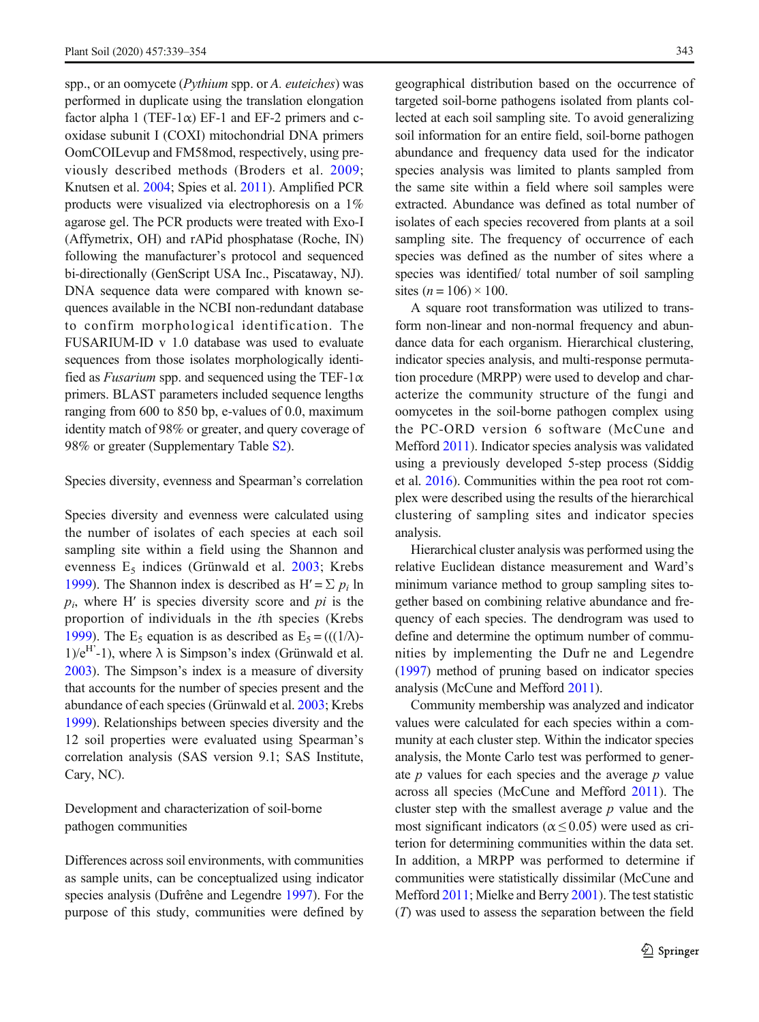spp., or an oomycete (*Pythium* spp. or *A. euteiches*) was performed in duplicate using the translation elongation factor alpha 1 (TEF-1 $\alpha$ ) EF-1 and EF-2 primers and coxidase subunit I (COXI) mitochondrial DNA primers OomCOILevup and FM58mod, respectively, using previously described methods (Broders et al. [2009](#page-13-0); Knutsen et al. [2004;](#page-14-0) Spies et al. [2011\)](#page-15-0). Amplified PCR products were visualized via electrophoresis on a 1% agarose gel. The PCR products were treated with Exo-I (Affymetrix, OH) and rAPid phosphatase (Roche, IN) following the manufacturer's protocol and sequenced bi-directionally (GenScript USA Inc., Piscataway, NJ). DNA sequence data were compared with known sequences available in the NCBI non-redundant database to confirm morphological identification. The FUSARIUM-ID v 1.0 database was used to evaluate sequences from those isolates morphologically identified as *Fusarium* spp. and sequenced using the TEF-1 $\alpha$ primers. BLAST parameters included sequence lengths ranging from 600 to 850 bp, e-values of 0.0, maximum identity match of 98% or greater, and query coverage of 98% or greater (Supplementary Table S2).

## Species diversity, evenness and Spearman's correlation

Species diversity and evenness were calculated using the number of isolates of each species at each soil sampling site within a field using the Shannon and evenness  $E_5$  indices (Grünwald et al. [2003;](#page-14-0) Krebs [1999](#page-14-0)). The Shannon index is described as H' =  $\Sigma$   $p_i$  ln  $p_i$ , where H' is species diversity score and  $pi$  is the proportion of individuals in the ith species (Krebs [1999](#page-14-0)). The E<sub>5</sub> equation is as described as E<sub>5</sub> = (((1/ $\lambda$ )-1)/ $e^{H'}$ -1), where  $\lambda$  is Simpson's index (Grünwald et al. [2003](#page-14-0)). The Simpson's index is a measure of diversity that accounts for the number of species present and the abundance of each species (Grünwald et al. [2003](#page-14-0); Krebs [1999](#page-14-0)). Relationships between species diversity and the 12 soil properties were evaluated using Spearman's correlation analysis (SAS version 9.1; SAS Institute, Cary, NC).

Development and characterization of soil-borne pathogen communities

Differences across soil environments, with communities as sample units, can be conceptualized using indicator species analysis (Dufrêne and Legendre [1997](#page-14-0)). For the purpose of this study, communities were defined by geographical distribution based on the occurrence of targeted soil-borne pathogens isolated from plants collected at each soil sampling site. To avoid generalizing soil information for an entire field, soil-borne pathogen abundance and frequency data used for the indicator species analysis was limited to plants sampled from the same site within a field where soil samples were extracted. Abundance was defined as total number of isolates of each species recovered from plants at a soil sampling site. The frequency of occurrence of each species was defined as the number of sites where a species was identified/ total number of soil sampling sites ( $n = 106$ ) × 100.

A square root transformation was utilized to transform non-linear and non-normal frequency and abundance data for each organism. Hierarchical clustering, indicator species analysis, and multi-response permutation procedure (MRPP) were used to develop and characterize the community structure of the fungi and oomycetes in the soil-borne pathogen complex using the PC-ORD version 6 software (McCune and Mefford [2011\)](#page-14-0). Indicator species analysis was validated using a previously developed 5-step process (Siddig et al. [2016](#page-15-0)). Communities within the pea root rot complex were described using the results of the hierarchical clustering of sampling sites and indicator species analysis.

Hierarchical cluster analysis was performed using the relative Euclidean distance measurement and Ward's minimum variance method to group sampling sites together based on combining relative abundance and frequency of each species. The dendrogram was used to define and determine the optimum number of communities by implementing the Dufr ne and Legendre [\(1997\)](#page-14-0) method of pruning based on indicator species analysis (McCune and Mefford [2011](#page-14-0)).

Community membership was analyzed and indicator values were calculated for each species within a community at each cluster step. Within the indicator species analysis, the Monte Carlo test was performed to generate  $p$  values for each species and the average  $p$  value across all species (McCune and Mefford [2011](#page-14-0)). The cluster step with the smallest average  *value and the* most significant indicators ( $\alpha \le 0.05$ ) were used as criterion for determining communities within the data set. In addition, a MRPP was performed to determine if communities were statistically dissimilar (McCune and Mefford [2011;](#page-14-0) Mielke and Berry [2001\)](#page-14-0). The test statistic (T) was used to assess the separation between the field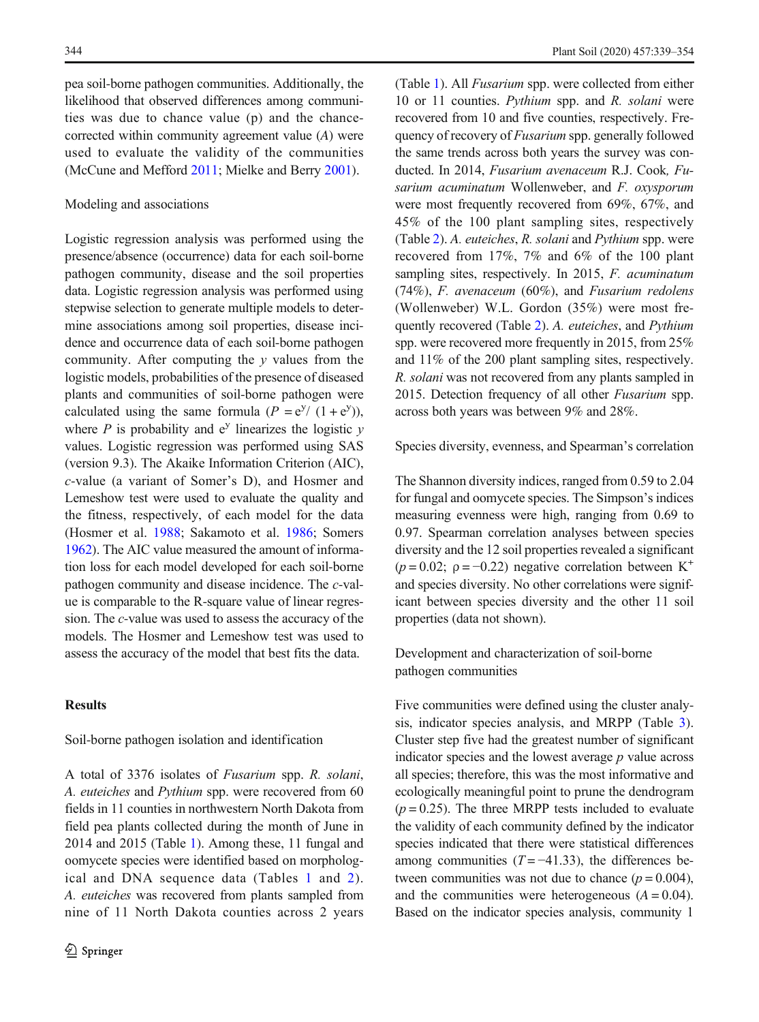pea soil-borne pathogen communities. Additionally, the likelihood that observed differences among communities was due to chance value (p) and the chancecorrected within community agreement value (A) were used to evaluate the validity of the communities (McCune and Mefford [2011](#page-14-0); Mielke and Berry [2001\)](#page-14-0).

#### Modeling and associations

Logistic regression analysis was performed using the presence/absence (occurrence) data for each soil-borne pathogen community, disease and the soil properties data. Logistic regression analysis was performed using stepwise selection to generate multiple models to determine associations among soil properties, disease incidence and occurrence data of each soil-borne pathogen community. After computing the  $y$  values from the logistic models, probabilities of the presence of diseased plants and communities of soil-borne pathogen were calculated using the same formula  $(P = e^{y}/ (1 + e^{y}))$ , where  $P$  is probability and  $e^y$  linearizes the logistic  $y$ values. Logistic regression was performed using SAS (version 9.3). The Akaike Information Criterion (AIC), c-value (a variant of Somer's D), and Hosmer and Lemeshow test were used to evaluate the quality and the fitness, respectively, of each model for the data (Hosmer et al. [1988](#page-14-0); Sakamoto et al. [1986;](#page-15-0) Somers [1962](#page-15-0)). The AIC value measured the amount of information loss for each model developed for each soil-borne pathogen community and disease incidence. The c-value is comparable to the R-square value of linear regression. The c-value was used to assess the accuracy of the models. The Hosmer and Lemeshow test was used to assess the accuracy of the model that best fits the data.

# Results

Soil-borne pathogen isolation and identification

A total of 3376 isolates of Fusarium spp. R. solani, A. euteiches and Pythium spp. were recovered from 60 fields in 11 counties in northwestern North Dakota from field pea plants collected during the month of June in 2014 and 2015 (Table [1\)](#page-6-0). Among these, 11 fungal and oomycete species were identified based on morphological and DNA sequence data (Tables [1](#page-6-0) and [2](#page-7-0)). A. euteiches was recovered from plants sampled from nine of 11 North Dakota counties across 2 years (Table [1](#page-6-0)). All Fusarium spp. were collected from either 10 or 11 counties. Pythium spp. and R. solani were recovered from 10 and five counties, respectively. Frequency of recovery of Fusarium spp. generally followed the same trends across both years the survey was conducted. In 2014, Fusarium avenaceum R.J. Cook, Fusarium acuminatum Wollenweber, and F. oxysporum were most frequently recovered from 69%, 67%, and 45% of the 100 plant sampling sites, respectively (Table [2](#page-7-0)). A. euteiches, R. solani and Pythium spp. were recovered from 17%, 7% and 6% of the 100 plant sampling sites, respectively. In 2015, F. acuminatum (74%), F. avenaceum (60%), and Fusarium redolens (Wollenweber) W.L. Gordon (35%) were most frequently recovered (Table [2](#page-7-0)). A. euteiches, and Pythium spp. were recovered more frequently in 2015, from 25% and 11% of the 200 plant sampling sites, respectively. R. solani was not recovered from any plants sampled in 2015. Detection frequency of all other Fusarium spp. across both years was between 9% and 28%.

#### Species diversity, evenness, and Spearman's correlation

The Shannon diversity indices, ranged from 0.59 to 2.04 for fungal and oomycete species. The Simpson's indices measuring evenness were high, ranging from 0.69 to 0.97. Spearman correlation analyses between species diversity and the 12 soil properties revealed a significant  $(p = 0.02; \rho = -0.22)$  negative correlation between K<sup>+</sup> and species diversity. No other correlations were significant between species diversity and the other 11 soil properties (data not shown).

Development and characterization of soil-borne pathogen communities

Five communities were defined using the cluster analysis, indicator species analysis, and MRPP (Table [3\)](#page-8-0). Cluster step five had the greatest number of significant indicator species and the lowest average  $p$  value across all species; therefore, this was the most informative and ecologically meaningful point to prune the dendrogram  $(p = 0.25)$ . The three MRPP tests included to evaluate the validity of each community defined by the indicator species indicated that there were statistical differences among communities  $(T = -41.33)$ , the differences between communities was not due to chance  $(p = 0.004)$ , and the communities were heterogeneous  $(A = 0.04)$ . Based on the indicator species analysis, community 1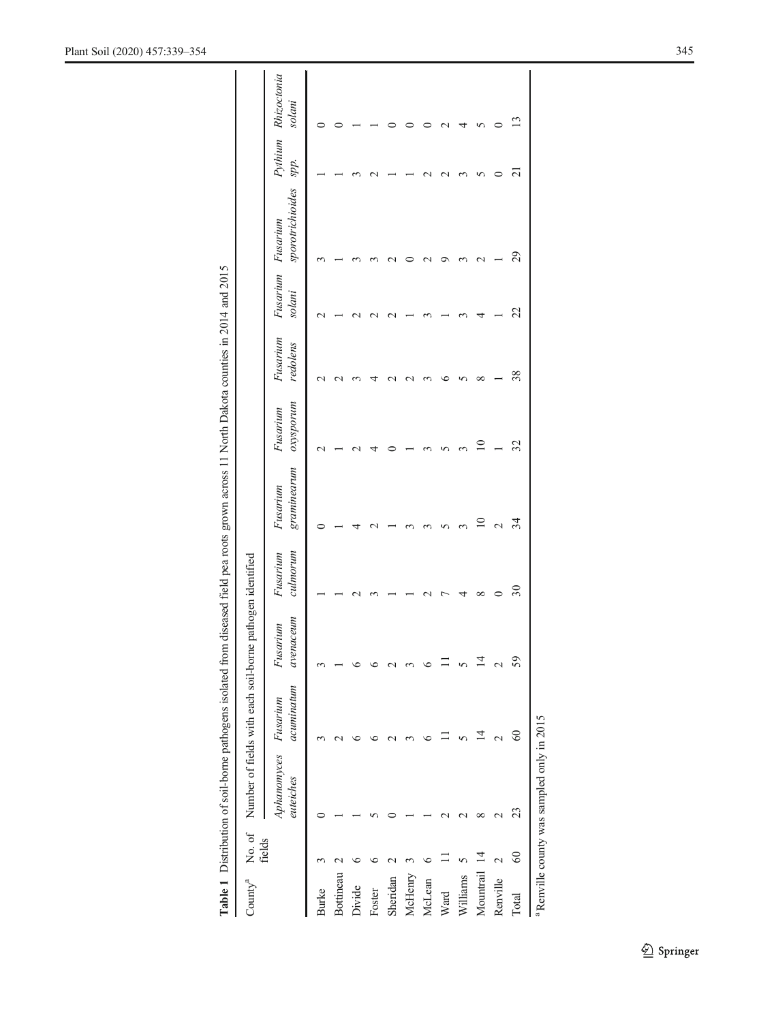| $\vdots$<br>֠            |
|--------------------------|
|                          |
|                          |
|                          |
| j                        |
| $\frac{1}{2}$            |
|                          |
| j                        |
|                          |
| $\overline{a}$<br>֚֚֡֡֡֡ |
|                          |
| ï<br>Ī<br>ŀ<br>l         |

| $250 + 225$<br>and home re<br>ach s<br>֓<br>$f$ fields with<br>ׅ֦֧֦֧֚֚֚֚֚֚֚֚֚֚֚֚֚֚֚֚֚֚֚֚֚֚֚֚֚֚֬֡֓֡֡֡֓֞֡֝֓֞֡<br>$\tilde{\zeta}$ |              |
|--------------------------------------------------------------------------------------------------------------------------------|--------------|
| Vo. 01                                                                                                                         | <b>Lelds</b> |
| j                                                                                                                              |              |

<span id="page-6-0"></span>

|              |           | Aphanomyces Fusarium<br>euteiches                     | acuminatum | avenaceum<br>Fusarium | culmorum<br>Fusarum      | graminearum<br>Fusarium | unnodskxo<br>Fusarium | Fusarium<br>redolens | solani | sporotrichioides<br>Fusarum Fusarum | Python<br>spp. | Rhizoctonia<br>solani |
|--------------|-----------|-------------------------------------------------------|------------|-----------------------|--------------------------|-------------------------|-----------------------|----------------------|--------|-------------------------------------|----------------|-----------------------|
| Burke        |           |                                                       |            |                       |                          |                         |                       |                      |        |                                     |                |                       |
| Bottineau    |           |                                                       |            |                       |                          |                         |                       |                      |        |                                     |                |                       |
| Divide       |           |                                                       |            |                       |                          |                         |                       |                      |        |                                     |                |                       |
| Foster       |           |                                                       |            |                       |                          |                         |                       |                      |        |                                     |                |                       |
| Sheridan     |           |                                                       |            |                       |                          |                         |                       |                      |        |                                     |                |                       |
| McHenry      |           |                                                       |            |                       |                          |                         |                       |                      |        |                                     |                |                       |
| McLean 6     |           |                                                       |            |                       |                          |                         |                       |                      |        |                                     |                |                       |
| Ward         |           |                                                       |            |                       |                          |                         |                       |                      |        |                                     |                |                       |
| Williams     |           |                                                       |            |                       |                          |                         |                       |                      |        |                                     |                |                       |
| Mountrail 14 |           | ∝                                                     | 그          |                       |                          |                         |                       |                      |        |                                     |                |                       |
| Renville     |           | √                                                     |            |                       |                          |                         |                       |                      |        |                                     |                |                       |
| Total        | $\degree$ | 23                                                    | $\degree$  | 59                    | $\overline{\mathcal{E}}$ | 34                      | 32                    | 38                   | 22     | 29                                  |                | ്വ                    |
|              |           | <sup>a</sup> Renville county was sampled only in 2015 |            |                       |                          |                         |                       |                      |        |                                     |                |                       |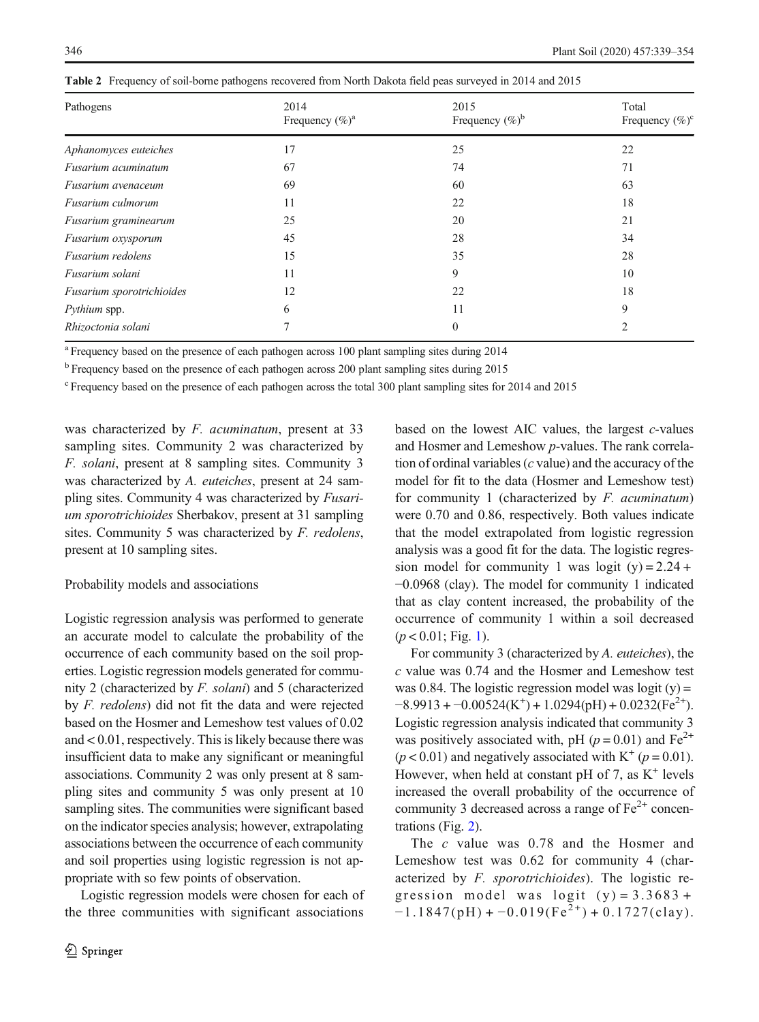| Pathogens                 | 2014<br>Frequency $(\%)^a$ | 2015<br>Frequency $(\%)^b$ | Total<br>Frequency $(\%)^c$ |
|---------------------------|----------------------------|----------------------------|-----------------------------|
|                           |                            |                            |                             |
| Aphanomyces euteiches     | 17                         | 25                         | 22                          |
| Fusarium acuminatum       | 67                         | 74                         | 71                          |
| Fusarium avenaceum        | 69                         | 60                         | 63                          |
| Fusarium culmorum         | 11                         | 22                         | 18                          |
| Fusarium graminearum      | 25                         | 20                         | 21                          |
| Fusarium oxysporum        | 45                         | 28                         | 34                          |
| Fusarium redolens         | 15                         | 35                         | 28                          |
| Fusarium solani           | 11                         | 9                          | 10                          |
| Fusarium sporotrichioides | 12                         | 22                         | 18                          |
| Pythium spp.              | 6                          | 11                         | 9                           |
| Rhizoctonia solani        |                            | $\Omega$                   | $\mathfrak{D}$              |

<span id="page-7-0"></span>Table 2 Frequency of soil-borne pathogens recovered from North Dakota field peas surveyed in 2014 and 2015

<sup>a</sup> Frequency based on the presence of each pathogen across 100 plant sampling sites during 2014

<sup>b</sup> Frequency based on the presence of each pathogen across 200 plant sampling sites during 2015

<sup>c</sup> Frequency based on the presence of each pathogen across the total 300 plant sampling sites for 2014 and 2015

was characterized by F. acuminatum, present at 33 sampling sites. Community 2 was characterized by F. solani, present at 8 sampling sites. Community 3 was characterized by A. euteiches, present at 24 sampling sites. Community 4 was characterized by Fusarium sporotrichioides Sherbakov, present at 31 sampling sites. Community 5 was characterized by F. redolens, present at 10 sampling sites.

## Probability models and associations

Logistic regression analysis was performed to generate an accurate model to calculate the probability of the occurrence of each community based on the soil properties. Logistic regression models generated for community 2 (characterized by F. solani) and 5 (characterized by F. redolens) did not fit the data and were rejected based on the Hosmer and Lemeshow test values of 0.02 and < 0.01, respectively. This is likely because there was insufficient data to make any significant or meaningful associations. Community 2 was only present at 8 sampling sites and community 5 was only present at 10 sampling sites. The communities were significant based on the indicator species analysis; however, extrapolating associations between the occurrence of each community and soil properties using logistic regression is not appropriate with so few points of observation.

Logistic regression models were chosen for each of the three communities with significant associations

based on the lowest AIC values, the largest  $c$ -values and Hosmer and Lemeshow p-values. The rank correlation of ordinal variables  $(c$  value) and the accuracy of the model for fit to the data (Hosmer and Lemeshow test) for community 1 (characterized by F. acuminatum) were 0.70 and 0.86, respectively. Both values indicate that the model extrapolated from logistic regression analysis was a good fit for the data. The logistic regression model for community 1 was logit  $(y) = 2.24 +$ −0.0968 (clay). The model for community 1 indicated that as clay content increased, the probability of the occurrence of community 1 within a soil decreased  $(p < 0.01$ ; Fig. [1\)](#page-9-0).

For community 3 (characterized by A. euteiches), the c value was 0.74 and the Hosmer and Lemeshow test was 0.84. The logistic regression model was logit  $(y)$  =  $-8.9913 + -0.00524(K^{+}) + 1.0294(pH) + 0.0232(Fe^{2+}).$ Logistic regression analysis indicated that community 3 was positively associated with, pH ( $p = 0.01$ ) and Fe<sup>2+</sup>  $(p < 0.01)$  and negatively associated with K<sup>+</sup>  $(p = 0.01)$ . However, when held at constant pH of 7, as  $K^+$  levels increased the overall probability of the occurrence of community 3 decreased across a range of  $Fe<sup>2+</sup>$  concentrations (Fig. [2](#page-9-0)).

The c value was 0.78 and the Hosmer and Lemeshow test was 0.62 for community 4 (characterized by F. sporotrichioides). The logistic regression model was logit  $(y) = 3.3683 +$  $-1.1847(pH) + -0.019(Fe<sup>2+</sup>) + 0.1727(clay).$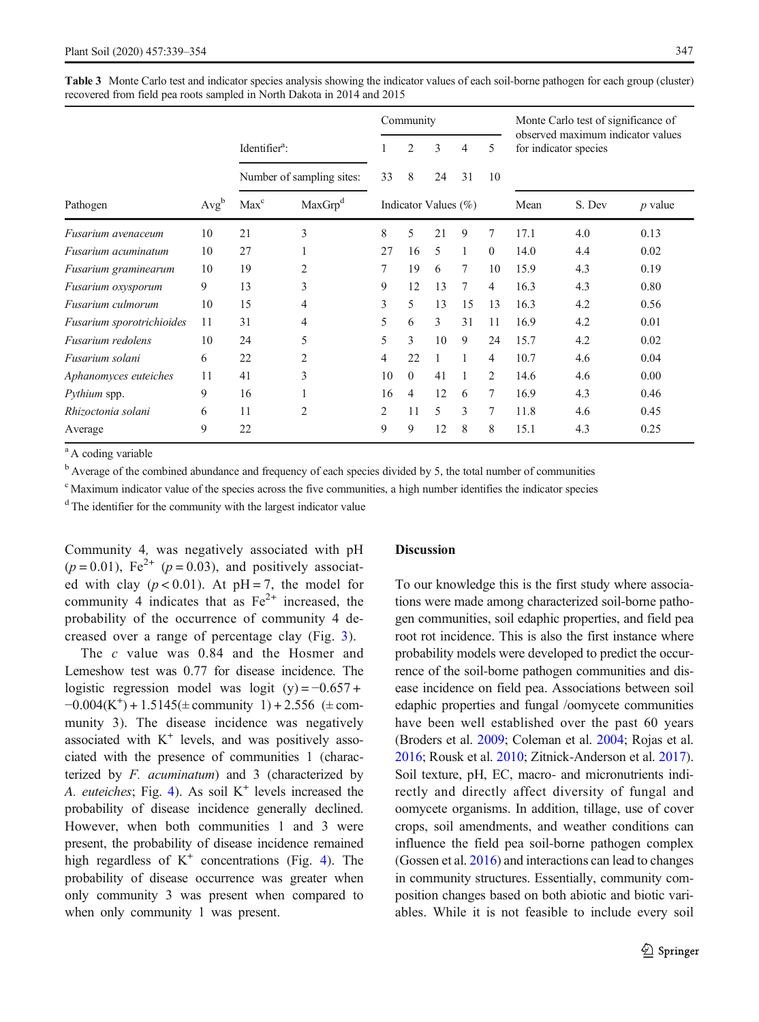<span id="page-8-0"></span>Table 3 Monte Carlo test and indicator species analysis showing the indicator values of each soil-borne pathogen for each group (cluster) recovered from field pea roots sampled in North Dakota in 2014 and 2015

|                           |         |                           |                           |    | Community               |    |                |              |                       | Monte Carlo test of significance of<br>observed maximum indicator values |           |  |
|---------------------------|---------|---------------------------|---------------------------|----|-------------------------|----|----------------|--------------|-----------------------|--------------------------------------------------------------------------|-----------|--|
|                           |         | Identifier <sup>a</sup> : |                           |    | 3<br>2                  |    | $\overline{4}$ | 5            | for indicator species |                                                                          |           |  |
|                           |         |                           | Number of sampling sites: | 33 | 8                       | 24 | 31             | 10           |                       |                                                                          |           |  |
| Pathogen                  | $Avg^b$ | Max <sup>c</sup>          | MaxGrp <sup>d</sup>       |    | Indicator Values $(\%)$ |    |                |              | Mean                  | S. Dev                                                                   | $p$ value |  |
| Fusarium avenaceum        | 10      | 21                        | 3                         | 8  | 5                       | 21 | 9              | 7            | 17.1                  | 4.0                                                                      | 0.13      |  |
| Fusarium acuminatum       | 10      | 27                        | 1                         | 27 | 16                      | 5  | 1              | $\mathbf{0}$ | 14.0                  | 4.4                                                                      | 0.02      |  |
| Fusarium graminearum      | 10      | 19                        | $\overline{c}$            | 7  | 19                      | 6  | 7              | 10           | 15.9                  | 4.3                                                                      | 0.19      |  |
| Fusarium oxysporum        | 9       | 13                        | 3                         | 9  | 12                      | 13 | 7              | 4            | 16.3                  | 4.3                                                                      | 0.80      |  |
| Fusarium culmorum         | 10      | 15                        | 4                         | 3  | 5                       | 13 | 15             | 13           | 16.3                  | 4.2                                                                      | 0.56      |  |
| Fusarium sporotrichioides | 11      | 31                        | 4                         | 5  | 6                       | 3  | 31             | 11           | 16.9                  | 4.2                                                                      | 0.01      |  |
| Fusarium redolens         | 10      | 24                        | 5                         | 5  | 3                       | 10 | 9              | 24           | 15.7                  | 4.2                                                                      | 0.02      |  |
| Fusarium solani           | 6       | 22                        | $\overline{2}$            | 4  | 22                      | 1  | 1              | 4            | 10.7                  | 4.6                                                                      | 0.04      |  |
| Aphanomyces euteiches     | 11      | 41                        | 3                         | 10 | $\theta$                | 41 |                | 2            | 14.6                  | 4.6                                                                      | 0.00      |  |
| Pythium spp.              | 9       | 16                        | 1                         | 16 | 4                       | 12 | 6              | 7            | 16.9                  | 4.3                                                                      | 0.46      |  |
| Rhizoctonia solani        | 6       | 11                        | $\overline{c}$            | 2  | 11                      | 5  | 3              | 7            | 11.8                  | 4.6                                                                      | 0.45      |  |
| Average                   | 9       | 22                        |                           | 9  | 9                       | 12 | 8              | 8            | 15.1                  | 4.3                                                                      | 0.25      |  |

<sup>a</sup> A coding variable

<sup>b</sup> Average of the combined abundance and frequency of each species divided by 5, the total number of communities

c Maximum indicator value of the species across the five communities, a high number identifies the indicator species

<sup>d</sup> The identifier for the community with the largest indicator value

Community 4, was negatively associated with pH  $(p=0.01)$ , Fe<sup>2+</sup>  $(p=0.03)$ , and positively associated with clay  $(p < 0.01)$ . At pH = 7, the model for community 4 indicates that as  $Fe^{2+}$  increased, the probability of the occurrence of community 4 decreased over a range of percentage clay (Fig. [3](#page-10-0)).

The c value was 0.84 and the Hosmer and Lemeshow test was 0.77 for disease incidence. The logistic regression model was logit  $(y) = -0.657 +$  $-0.004(K^+) + 1.5145(\pm$  community 1) + 2.556 ( $\pm$  community 3). The disease incidence was negatively associated with  $K^+$  levels, and was positively associated with the presence of communities 1 (characterized by F. acuminatum) and 3 (characterized by A. euteiches; Fig. [4\)](#page-10-0). As soil  $K^+$  levels increased the probability of disease incidence generally declined. However, when both communities 1 and 3 were present, the probability of disease incidence remained high regardless of  $K^+$  concentrations (Fig. [4\)](#page-10-0). The probability of disease occurrence was greater when only community 3 was present when compared to when only community 1 was present.

#### **Discussion**

To our knowledge this is the first study where associations were made among characterized soil-borne pathogen communities, soil edaphic properties, and field pea root rot incidence. This is also the first instance where probability models were developed to predict the occurrence of the soil-borne pathogen communities and disease incidence on field pea. Associations between soil edaphic properties and fungal /oomycete communities have been well established over the past 60 years (Broders et al. [2009;](#page-13-0) Coleman et al. [2004;](#page-13-0) Rojas et al. [2016](#page-15-0); Rousk et al. [2010;](#page-15-0) Zitnick-Anderson et al. [2017\)](#page-15-0). Soil texture, pH, EC, macro- and micronutrients indirectly and directly affect diversity of fungal and oomycete organisms. In addition, tillage, use of cover crops, soil amendments, and weather conditions can influence the field pea soil-borne pathogen complex (Gossen et al. [2016](#page-14-0)) and interactions can lead to changes in community structures. Essentially, community composition changes based on both abiotic and biotic variables. While it is not feasible to include every soil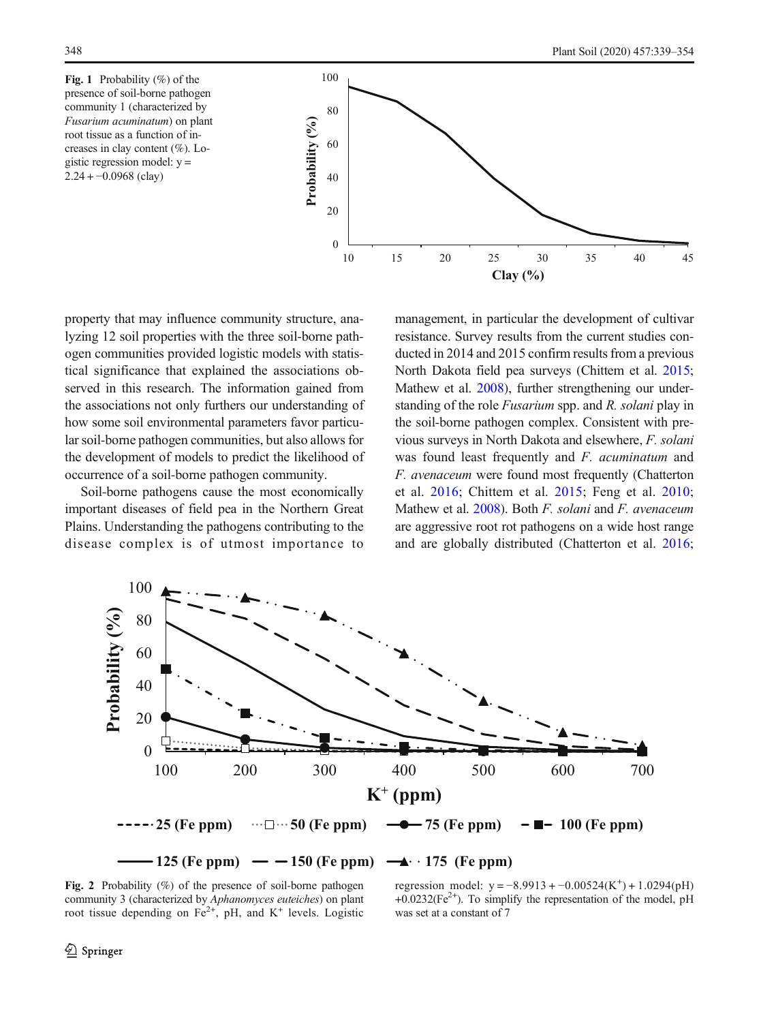<span id="page-9-0"></span>Fig. 1 Probability  $(\%)$  of the presence of soil-borne pathogen community 1 (characterized by Fusarium acuminatum) on plant root tissue as a function of increases in clay content (%). Logistic regression model:  $y =$ 2.24 + −0.0968 (clay)



property that may influence community structure, analyzing 12 soil properties with the three soil-borne pathogen communities provided logistic models with statistical significance that explained the associations observed in this research. The information gained from the associations not only furthers our understanding of how some soil environmental parameters favor particular soil-borne pathogen communities, but also allows for the development of models to predict the likelihood of occurrence of a soil-borne pathogen community.

Soil-borne pathogens cause the most economically important diseases of field pea in the Northern Great Plains. Understanding the pathogens contributing to the disease complex is of utmost importance to management, in particular the development of cultivar resistance. Survey results from the current studies conducted in 2014 and 2015 confirm results from a previous North Dakota field pea surveys (Chittem et al. [2015;](#page-13-0) Mathew et al. [2008](#page-14-0)), further strengthening our understanding of the role Fusarium spp. and R. solani play in the soil-borne pathogen complex. Consistent with previous surveys in North Dakota and elsewhere, F. solani was found least frequently and F. acuminatum and F. avenaceum were found most frequently (Chatterton et al. [2016;](#page-13-0) Chittem et al. [2015](#page-13-0); Feng et al. [2010;](#page-14-0) Mathew et al. [2008\)](#page-14-0). Both F. solani and F. avenaceum are aggressive root rot pathogens on a wide host range and are globally distributed (Chatterton et al. [2016;](#page-13-0)



Fig. 2 Probability  $(\%)$  of the presence of soil-borne pathogen community 3 (characterized by Aphanomyces euteiches) on plant root tissue depending on  $Fe^{2+}$ , pH, and  $K^+$  levels. Logistic

regression model:  $y = -8.9913 + -0.00524(K^+) + 1.0294(pH)$  $+0.0232(Fe<sup>2+</sup>)$ . To simplify the representation of the model, pH was set at a constant of 7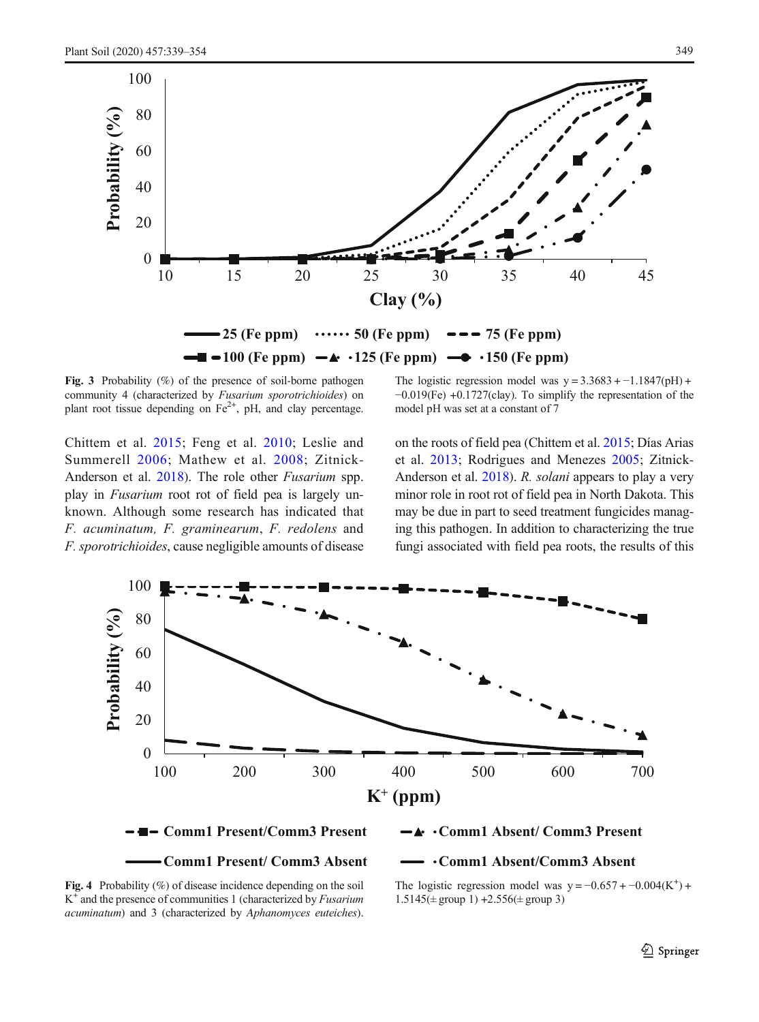<span id="page-10-0"></span>

Fig. 3 Probability (%) of the presence of soil-borne pathogen community 4 (characterized by Fusarium sporotrichioides) on plant root tissue depending on  $Fe<sup>2+</sup>$ , pH, and clay percentage.

Chittem et al. [2015](#page-13-0); Feng et al. [2010;](#page-14-0) Leslie and Summerell [2006;](#page-14-0) Mathew et al. [2008](#page-14-0); Zitnick-Anderson et al. [2018\)](#page-15-0). The role other Fusarium spp. play in Fusarium root rot of field pea is largely unknown. Although some research has indicated that F. acuminatum, F. graminearum, F. redolens and F. sporotrichioides, cause negligible amounts of disease The logistic regression model was  $y = 3.3683 + -1.1847(pH) +$ −0.019(Fe) +0.1727(clay). To simplify the representation of the model pH was set at a constant of 7

on the roots of field pea (Chittem et al. [2015;](#page-13-0) Días Arias et al. [2013](#page-13-0); Rodrigues and Menezes [2005](#page-15-0); Zitnick-Anderson et al. [2018](#page-15-0)). R. solani appears to play a very minor role in root rot of field pea in North Dakota. This may be due in part to seed treatment fungicides managing this pathogen. In addition to characterizing the true fungi associated with field pea roots, the results of this



Fig. 4 Probability (%) of disease incidence depending on the soil  $K^+$  and the presence of communities 1 (characterized by Fusarium acuminatum) and 3 (characterized by Aphanomyces euteiches).

The logistic regression model was  $y = -0.657 + -0.004(K^+) +$  $1.5145(\pm \text{group } 1) + 2.556(\pm \text{group } 3)$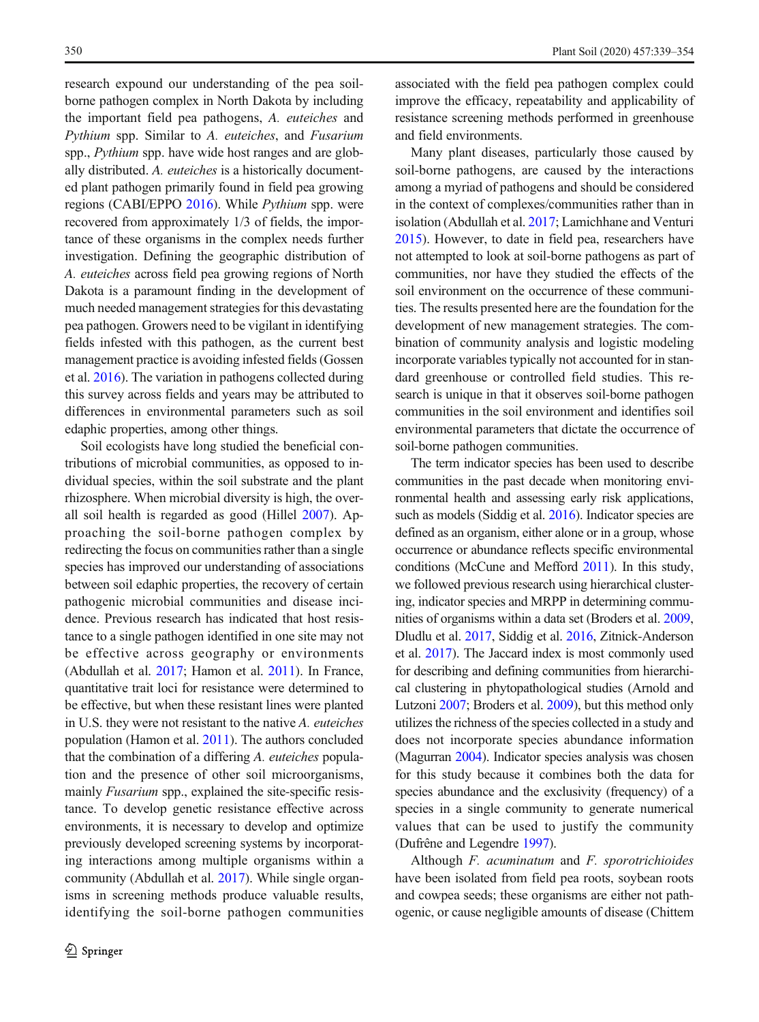research expound our understanding of the pea soilborne pathogen complex in North Dakota by including the important field pea pathogens, A. euteiches and Pythium spp. Similar to A. euteiches, and Fusarium spp., *Pythium* spp. have wide host ranges and are globally distributed. A. euteiches is a historically documented plant pathogen primarily found in field pea growing regions (CABI/EPPO [2016\)](#page-13-0). While Pythium spp. were recovered from approximately 1/3 of fields, the importance of these organisms in the complex needs further investigation. Defining the geographic distribution of A. euteiches across field pea growing regions of North Dakota is a paramount finding in the development of much needed management strategies for this devastating pea pathogen. Growers need to be vigilant in identifying fields infested with this pathogen, as the current best management practice is avoiding infested fields (Gossen et al. [2016](#page-14-0)). The variation in pathogens collected during this survey across fields and years may be attributed to differences in environmental parameters such as soil edaphic properties, among other things.

Soil ecologists have long studied the beneficial contributions of microbial communities, as opposed to individual species, within the soil substrate and the plant rhizosphere. When microbial diversity is high, the overall soil health is regarded as good (Hillel [2007\)](#page-14-0). Approaching the soil-borne pathogen complex by redirecting the focus on communities rather than a single species has improved our understanding of associations between soil edaphic properties, the recovery of certain pathogenic microbial communities and disease incidence. Previous research has indicated that host resistance to a single pathogen identified in one site may not be effective across geography or environments (Abdullah et al. [2017](#page-13-0); Hamon et al. [2011\)](#page-14-0). In France, quantitative trait loci for resistance were determined to be effective, but when these resistant lines were planted in U.S. they were not resistant to the native A. euteiches population (Hamon et al. [2011\)](#page-14-0). The authors concluded that the combination of a differing A. euteiches population and the presence of other soil microorganisms, mainly *Fusarium* spp., explained the site-specific resistance. To develop genetic resistance effective across environments, it is necessary to develop and optimize previously developed screening systems by incorporating interactions among multiple organisms within a community (Abdullah et al. [2017\)](#page-13-0). While single organisms in screening methods produce valuable results, identifying the soil-borne pathogen communities associated with the field pea pathogen complex could improve the efficacy, repeatability and applicability of resistance screening methods performed in greenhouse and field environments.

Many plant diseases, particularly those caused by soil-borne pathogens, are caused by the interactions among a myriad of pathogens and should be considered in the context of complexes/communities rather than in isolation (Abdullah et al. [2017;](#page-13-0) Lamichhane and Venturi [2015](#page-14-0)). However, to date in field pea, researchers have not attempted to look at soil-borne pathogens as part of communities, nor have they studied the effects of the soil environment on the occurrence of these communities. The results presented here are the foundation for the development of new management strategies. The combination of community analysis and logistic modeling incorporate variables typically not accounted for in standard greenhouse or controlled field studies. This research is unique in that it observes soil-borne pathogen communities in the soil environment and identifies soil environmental parameters that dictate the occurrence of soil-borne pathogen communities.

The term indicator species has been used to describe communities in the past decade when monitoring environmental health and assessing early risk applications, such as models (Siddig et al. [2016\)](#page-15-0). Indicator species are defined as an organism, either alone or in a group, whose occurrence or abundance reflects specific environmental conditions (McCune and Mefford [2011\)](#page-14-0). In this study, we followed previous research using hierarchical clustering, indicator species and MRPP in determining communities of organisms within a data set (Broders et al. [2009,](#page-13-0) Dludlu et al. [2017,](#page-13-0) Siddig et al. [2016,](#page-15-0) Zitnick-Anderson et al. [2017\)](#page-15-0). The Jaccard index is most commonly used for describing and defining communities from hierarchical clustering in phytopathological studies (Arnold and Lutzoni [2007](#page-13-0); Broders et al. [2009\)](#page-13-0), but this method only utilizes the richness of the species collected in a study and does not incorporate species abundance information (Magurran [2004\)](#page-14-0). Indicator species analysis was chosen for this study because it combines both the data for species abundance and the exclusivity (frequency) of a species in a single community to generate numerical values that can be used to justify the community (Dufrêne and Legendre [1997](#page-14-0)).

Although F. acuminatum and F. sporotrichioides have been isolated from field pea roots, soybean roots and cowpea seeds; these organisms are either not pathogenic, or cause negligible amounts of disease (Chittem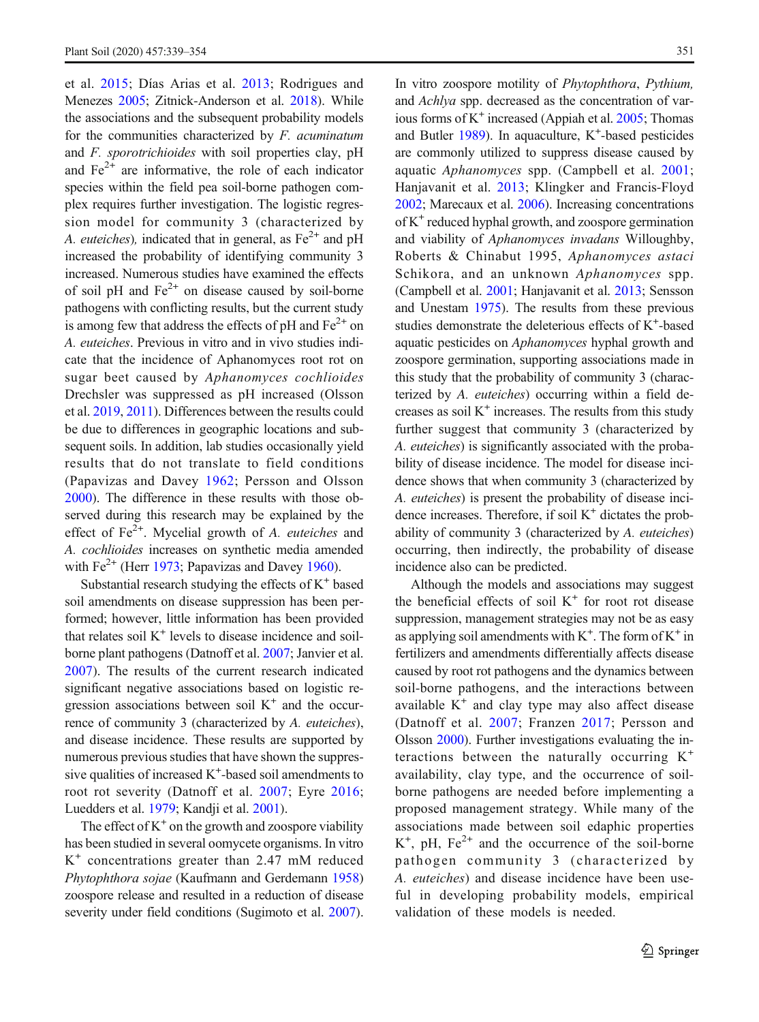et al. [2015;](#page-13-0) Días Arias et al. [2013;](#page-13-0) Rodrigues and Menezes [2005;](#page-15-0) Zitnick-Anderson et al. [2018\)](#page-15-0). While the associations and the subsequent probability models for the communities characterized by  $F$ . acuminatum and F. sporotrichioides with soil properties clay, pH and  $Fe<sup>2+</sup>$  are informative, the role of each indicator species within the field pea soil-borne pathogen complex requires further investigation. The logistic regression model for community 3 (characterized by A. *euteiches*), indicated that in general, as  $Fe^{2+}$  and pH increased the probability of identifying community 3 increased. Numerous studies have examined the effects of soil pH and  $Fe^{2+}$  on disease caused by soil-borne pathogens with conflicting results, but the current study is among few that address the effects of  $pH$  and  $Fe^{2+}$  on A. euteiches. Previous in vitro and in vivo studies indicate that the incidence of Aphanomyces root rot on sugar beet caused by Aphanomyces cochlioides Drechsler was suppressed as pH increased (Olsson et al. [2019,](#page-15-0) [2011\)](#page-15-0). Differences between the results could be due to differences in geographic locations and subsequent soils. In addition, lab studies occasionally yield results that do not translate to field conditions (Papavizas and Davey [1962](#page-15-0); Persson and Olsson [2000](#page-15-0)). The difference in these results with those observed during this research may be explained by the effect of  $Fe<sup>2+</sup>$ . Mycelial growth of A. euteiches and A. cochlioides increases on synthetic media amended with  $Fe<sup>2+</sup>$  (Herr [1973;](#page-14-0) Papavizas and Davey [1960\)](#page-15-0).

Substantial research studying the effects of  $K^+$  based soil amendments on disease suppression has been performed; however, little information has been provided that relates soil  $K<sup>+</sup>$  levels to disease incidence and soilborne plant pathogens (Datnoff et al. [2007](#page-13-0); Janvier et al. [2007\)](#page-14-0). The results of the current research indicated significant negative associations based on logistic regression associations between soil  $K^+$  and the occurrence of community 3 (characterized by A. euteiches), and disease incidence. These results are supported by numerous previous studies that have shown the suppressive qualities of increased K<sup>+</sup>-based soil amendments to root rot severity (Datnoff et al. [2007;](#page-13-0) Eyre [2016](#page-14-0); Luedders et al. [1979;](#page-14-0) Kandii et al. [2001\)](#page-14-0).

The effect of  $K^+$  on the growth and zoospore viability has been studied in several oomycete organisms. In vitro  $K^+$  concentrations greater than 2.47 mM reduced Phytophthora sojae (Kaufmann and Gerdemann [1958\)](#page-14-0) zoospore release and resulted in a reduction of disease severity under field conditions (Sugimoto et al. [2007\)](#page-15-0). In vitro zoospore motility of Phytophthora, Pythium, and Achlya spp. decreased as the concentration of various forms of  $K^+$  increased (Appiah et al. [2005](#page-13-0); Thomas and Butler [1989](#page-15-0)). In aquaculture, K<sup>+</sup>-based pesticides are commonly utilized to suppress disease caused by aquatic Aphanomyces spp. (Campbell et al. [2001;](#page-13-0) Hanjavanit et al. [2013;](#page-14-0) Klingker and Francis-Floyd [2002](#page-14-0); Marecaux et al. [2006\)](#page-14-0). Increasing concentrations  $of K<sup>+</sup> reduced hyphal growth, and zoospore germination$ and viability of Aphanomyces invadans Willoughby, Roberts & Chinabut 1995, Aphanomyces astaci Schikora, and an unknown Aphanomyces spp. (Campbell et al. [2001](#page-13-0); Hanjavanit et al. [2013;](#page-14-0) Sensson and Unestam [1975](#page-15-0)). The results from these previous studies demonstrate the deleterious effects of K<sup>+</sup>-based aquatic pesticides on Aphanomyces hyphal growth and zoospore germination, supporting associations made in this study that the probability of community 3 (characterized by A. euteiches) occurring within a field decreases as soil  $K^+$  increases. The results from this study further suggest that community 3 (characterized by A. euteiches) is significantly associated with the probability of disease incidence. The model for disease incidence shows that when community 3 (characterized by A. euteiches) is present the probability of disease incidence increases. Therefore, if soil  $K^+$  dictates the probability of community 3 (characterized by A. euteiches) occurring, then indirectly, the probability of disease incidence also can be predicted.

Although the models and associations may suggest the beneficial effects of soil  $K^+$  for root rot disease suppression, management strategies may not be as easy as applying soil amendments with  $K^+$ . The form of  $K^+$  in fertilizers and amendments differentially affects disease caused by root rot pathogens and the dynamics between soil-borne pathogens, and the interactions between available  $K^+$  and clay type may also affect disease (Datnoff et al. [2007;](#page-13-0) Franzen [2017;](#page-14-0) Persson and Olsson [2000\)](#page-15-0). Further investigations evaluating the interactions between the naturally occurring  $K^+$ availability, clay type, and the occurrence of soilborne pathogens are needed before implementing a proposed management strategy. While many of the associations made between soil edaphic properties  $K^+$ , pH, Fe<sup>2+</sup> and the occurrence of the soil-borne pathogen community 3 (characterized by A. euteiches) and disease incidence have been useful in developing probability models, empirical validation of these models is needed.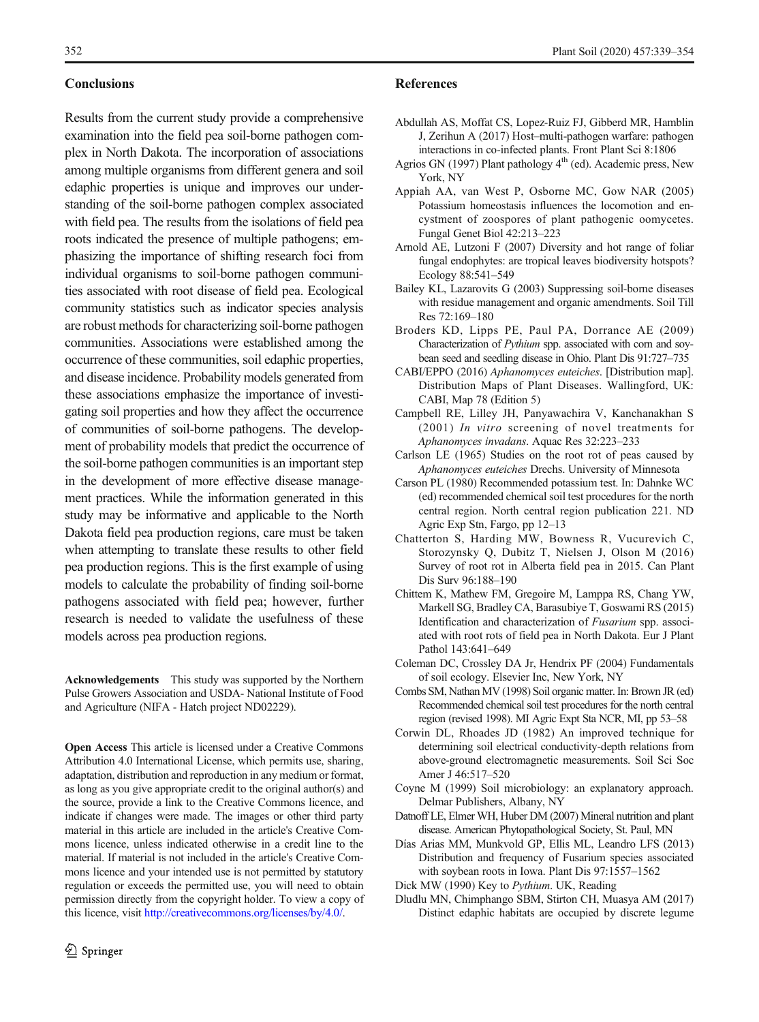## <span id="page-13-0"></span>Conclusions

Results from the current study provide a comprehensive examination into the field pea soil-borne pathogen complex in North Dakota. The incorporation of associations among multiple organisms from different genera and soil edaphic properties is unique and improves our understanding of the soil-borne pathogen complex associated with field pea. The results from the isolations of field pea roots indicated the presence of multiple pathogens; emphasizing the importance of shifting research foci from individual organisms to soil-borne pathogen communities associated with root disease of field pea. Ecological community statistics such as indicator species analysis are robust methods for characterizing soil-borne pathogen communities. Associations were established among the occurrence of these communities, soil edaphic properties, and disease incidence. Probability models generated from these associations emphasize the importance of investigating soil properties and how they affect the occurrence of communities of soil-borne pathogens. The development of probability models that predict the occurrence of the soil-borne pathogen communities is an important step in the development of more effective disease management practices. While the information generated in this study may be informative and applicable to the North Dakota field pea production regions, care must be taken when attempting to translate these results to other field pea production regions. This is the first example of using models to calculate the probability of finding soil-borne pathogens associated with field pea; however, further research is needed to validate the usefulness of these models across pea production regions.

Acknowledgements This study was supported by the Northern Pulse Growers Association and USDA- National Institute of Food and Agriculture (NIFA - Hatch project ND02229).

Open Access This article is licensed under a Creative Commons Attribution 4.0 International License, which permits use, sharing, adaptation, distribution and reproduction in any medium or format, as long as you give appropriate credit to the original author(s) and the source, provide a link to the Creative Commons licence, and indicate if changes were made. The images or other third party material in this article are included in the article's Creative Commons licence, unless indicated otherwise in a credit line to the material. If material is not included in the article's Creative Commons licence and your intended use is not permitted by statutory regulation or exceeds the permitted use, you will need to obtain permission directly from the copyright holder. To view a copy of this licence, visit [http://creativecommons.org/licenses/by/4.0/.](https://doi.org/)

## References

- Abdullah AS, Moffat CS, Lopez-Ruiz FJ, Gibberd MR, Hamblin J, Zerihun A (2017) Host–multi-pathogen warfare: pathogen interactions in co-infected plants. Front Plant Sci 8:1806
- Agrios GN (1997) Plant pathology  $4<sup>th</sup>$  (ed). Academic press, New York, NY
- Appiah AA, van West P, Osborne MC, Gow NAR (2005) Potassium homeostasis influences the locomotion and encystment of zoospores of plant pathogenic oomycetes. Fungal Genet Biol 42:213–223
- Arnold AE, Lutzoni F (2007) Diversity and hot range of foliar fungal endophytes: are tropical leaves biodiversity hotspots? Ecology 88:541–549
- Bailey KL, Lazarovits G (2003) Suppressing soil-borne diseases with residue management and organic amendments. Soil Till Res 72:169–180
- Broders KD, Lipps PE, Paul PA, Dorrance AE (2009) Characterization of Pythium spp. associated with corn and soybean seed and seedling disease in Ohio. Plant Dis 91:727–735
- CABI/EPPO (2016) Aphanomyces euteiches. [Distribution map]. Distribution Maps of Plant Diseases. Wallingford, UK: CABI, Map 78 (Edition 5)
- Campbell RE, Lilley JH, Panyawachira V, Kanchanakhan S (2001) In vitro screening of novel treatments for Aphanomyces invadans. Aquac Res 32:223–233
- Carlson LE (1965) Studies on the root rot of peas caused by Aphanomyces euteiches Drechs. University of Minnesota
- Carson PL (1980) Recommended potassium test. In: Dahnke WC (ed) recommended chemical soil test procedures for the north central region. North central region publication 221. ND Agric Exp Stn, Fargo, pp 12–13
- Chatterton S, Harding MW, Bowness R, Vucurevich C, Storozynsky Q, Dubitz T, Nielsen J, Olson M (2016) Survey of root rot in Alberta field pea in 2015. Can Plant Dis Surv 96:188–190
- Chittem K, Mathew FM, Gregoire M, Lamppa RS, Chang YW, Markell SG, Bradley CA, Barasubiye T, Goswami RS (2015) Identification and characterization of Fusarium spp. associated with root rots of field pea in North Dakota. Eur J Plant Pathol 143:641–649
- Coleman DC, Crossley DA Jr, Hendrix PF (2004) Fundamentals of soil ecology. Elsevier Inc, New York, NY
- Combs SM, Nathan MV (1998) Soil organic matter. In: Brown JR (ed) Recommended chemical soil test procedures for the north central region (revised 1998). MI Agric Expt Sta NCR, MI, pp 53–58
- Corwin DL, Rhoades JD (1982) An improved technique for determining soil electrical conductivity-depth relations from above-ground electromagnetic measurements. Soil Sci Soc Amer J 46:517–520
- Coyne M (1999) Soil microbiology: an explanatory approach. Delmar Publishers, Albany, NY
- Datnoff LE, Elmer WH, Huber DM (2007) Mineral nutrition and plant disease. American Phytopathological Society, St. Paul, MN
- Días Arias MM, Munkvold GP, Ellis ML, Leandro LFS (2013) Distribution and frequency of Fusarium species associated with soybean roots in Iowa. Plant Dis 97:1557–1562

Dludlu MN, Chimphango SBM, Stirton CH, Muasya AM (2017) Distinct edaphic habitats are occupied by discrete legume

Dick MW (1990) Key to Pythium. UK, Reading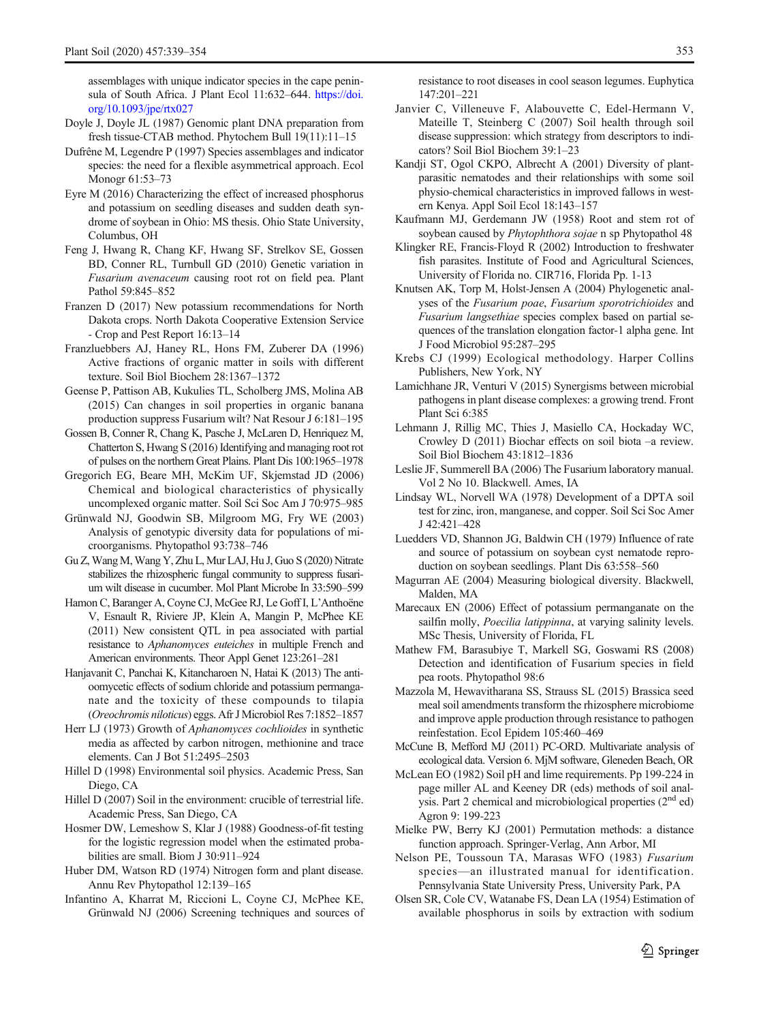<span id="page-14-0"></span>assemblages with unique indicator species in the cape peninsula of South Africa. J Plant Ecol 11:632–644. [https://doi.](https://doi.org/10.1093/jpe/rtx027) [org/10.1093/jpe/rtx027](https://doi.org/10.1093/jpe/rtx027)

- Doyle J, Doyle JL (1987) Genomic plant DNA preparation from fresh tissue-CTAB method. Phytochem Bull 19(11):11–15
- Dufrêne M, Legendre P (1997) Species assemblages and indicator species: the need for a flexible asymmetrical approach. Ecol Monogr 61:53–73
- Eyre M (2016) Characterizing the effect of increased phosphorus and potassium on seedling diseases and sudden death syndrome of soybean in Ohio: MS thesis. Ohio State University, Columbus, OH
- Feng J, Hwang R, Chang KF, Hwang SF, Strelkov SE, Gossen BD, Conner RL, Turnbull GD (2010) Genetic variation in Fusarium avenaceum causing root rot on field pea. Plant Pathol 59:845–852
- Franzen D (2017) New potassium recommendations for North Dakota crops. North Dakota Cooperative Extension Service - Crop and Pest Report 16:13–14
- Franzluebbers AJ, Haney RL, Hons FM, Zuberer DA (1996) Active fractions of organic matter in soils with different texture. Soil Biol Biochem 28:1367–1372
- Geense P, Pattison AB, Kukulies TL, Scholberg JMS, Molina AB (2015) Can changes in soil properties in organic banana production suppress Fusarium wilt? Nat Resour J 6:181–195
- Gossen B, Conner R, Chang K, Pasche J, McLaren D, Henriquez M, Chatterton S, Hwang S (2016) Identifying and managing root rot of pulses on the northern Great Plains. Plant Dis 100:1965–1978
- Gregorich EG, Beare MH, McKim UF, Skjemstad JD (2006) Chemical and biological characteristics of physically uncomplexed organic matter. Soil Sci Soc Am J 70:975–985
- Grünwald NJ, Goodwin SB, Milgroom MG, Fry WE (2003) Analysis of genotypic diversity data for populations of microorganisms. Phytopathol 93:738–746
- Gu Z,Wang M,Wang Y, Zhu L, Mur LAJ, Hu J, Guo S (2020) Nitrate stabilizes the rhizospheric fungal community to suppress fusarium wilt disease in cucumber. Mol Plant Microbe In 33:590–599
- Hamon C, Baranger A, Coyne CJ, McGee RJ, Le Goff I, L'Anthoëne V, Esnault R, Riviere JP, Klein A, Mangin P, McPhee KE (2011) New consistent QTL in pea associated with partial resistance to Aphanomyces euteiches in multiple French and American environments. Theor Appl Genet 123:261–281
- Hanjavanit C, Panchai K, Kitancharoen N, Hatai K (2013) The antioomycetic effects of sodium chloride and potassium permanganate and the toxicity of these compounds to tilapia (Oreochromis niloticus) eggs. Afr J Microbiol Res 7:1852–1857
- Herr LJ (1973) Growth of Aphanomyces cochlioides in synthetic media as affected by carbon nitrogen, methionine and trace elements. Can J Bot 51:2495–2503
- Hillel D (1998) Environmental soil physics. Academic Press, San Diego, CA
- Hillel D (2007) Soil in the environment: crucible of terrestrial life. Academic Press, San Diego, CA
- Hosmer DW, Lemeshow S, Klar J (1988) Goodness-of-fit testing for the logistic regression model when the estimated probabilities are small. Biom J 30:911–924
- Huber DM, Watson RD (1974) Nitrogen form and plant disease. Annu Rev Phytopathol 12:139–165
- Infantino A, Kharrat M, Riccioni L, Coyne CJ, McPhee KE, Grünwald NJ (2006) Screening techniques and sources of

resistance to root diseases in cool season legumes. Euphytica 147:201–221

- Janvier C, Villeneuve F, Alabouvette C, Edel-Hermann V, Mateille T, Steinberg C (2007) Soil health through soil disease suppression: which strategy from descriptors to indicators? Soil Biol Biochem 39:1–23
- Kandji ST, Ogol CKPO, Albrecht A (2001) Diversity of plantparasitic nematodes and their relationships with some soil physio-chemical characteristics in improved fallows in western Kenya. Appl Soil Ecol 18:143–157
- Kaufmann MJ, Gerdemann JW (1958) Root and stem rot of soybean caused by *Phytophthora sojae* n sp Phytopathol 48
- Klingker RE, Francis-Floyd R (2002) Introduction to freshwater fish parasites. Institute of Food and Agricultural Sciences, University of Florida no. CIR716, Florida Pp. 1-13
- Knutsen AK, Torp M, Holst-Jensen A (2004) Phylogenetic analyses of the Fusarium poae, Fusarium sporotrichioides and Fusarium langsethiae species complex based on partial sequences of the translation elongation factor-1 alpha gene. Int J Food Microbiol 95:287–295
- Krebs CJ (1999) Ecological methodology. Harper Collins Publishers, New York, NY
- Lamichhane JR, Venturi V (2015) Synergisms between microbial pathogens in plant disease complexes: a growing trend. Front Plant Sci 6:385
- Lehmann J, Rillig MC, Thies J, Masiello CA, Hockaday WC, Crowley D (2011) Biochar effects on soil biota –a review. Soil Biol Biochem 43:1812–1836
- Leslie JF, Summerell BA (2006) The Fusarium laboratory manual. Vol 2 No 10. Blackwell. Ames, IA
- Lindsay WL, Norvell WA (1978) Development of a DPTA soil test for zinc, iron, manganese, and copper. Soil Sci Soc Amer J 42:421–428
- Luedders VD, Shannon JG, Baldwin CH (1979) Influence of rate and source of potassium on soybean cyst nematode reproduction on soybean seedlings. Plant Dis 63:558–560
- Magurran AE (2004) Measuring biological diversity. Blackwell, Malden, MA
- Marecaux EN (2006) Effect of potassium permanganate on the sailfin molly, Poecilia latippinna, at varying salinity levels. MSc Thesis, University of Florida, FL
- Mathew FM, Barasubiye T, Markell SG, Goswami RS (2008) Detection and identification of Fusarium species in field pea roots. Phytopathol 98:6
- Mazzola M, Hewavitharana SS, Strauss SL (2015) Brassica seed meal soil amendments transform the rhizosphere microbiome and improve apple production through resistance to pathogen reinfestation. Ecol Epidem 105:460–469
- McCune B, Mefford MJ (2011) PC-ORD. Multivariate analysis of ecological data. Version 6. MjM software, Gleneden Beach, OR
- McLean EO (1982) Soil pH and lime requirements. Pp 199-224 in page miller AL and Keeney DR (eds) methods of soil analysis. Part 2 chemical and microbiological properties (2<sup>nd</sup> ed) Agron 9: 199-223
- Mielke PW, Berry KJ (2001) Permutation methods: a distance function approach. Springer-Verlag, Ann Arbor, MI
- Nelson PE, Toussoun TA, Marasas WFO (1983) Fusarium species—an illustrated manual for identification. Pennsylvania State University Press, University Park, PA
- Olsen SR, Cole CV, Watanabe FS, Dean LA (1954) Estimation of available phosphorus in soils by extraction with sodium